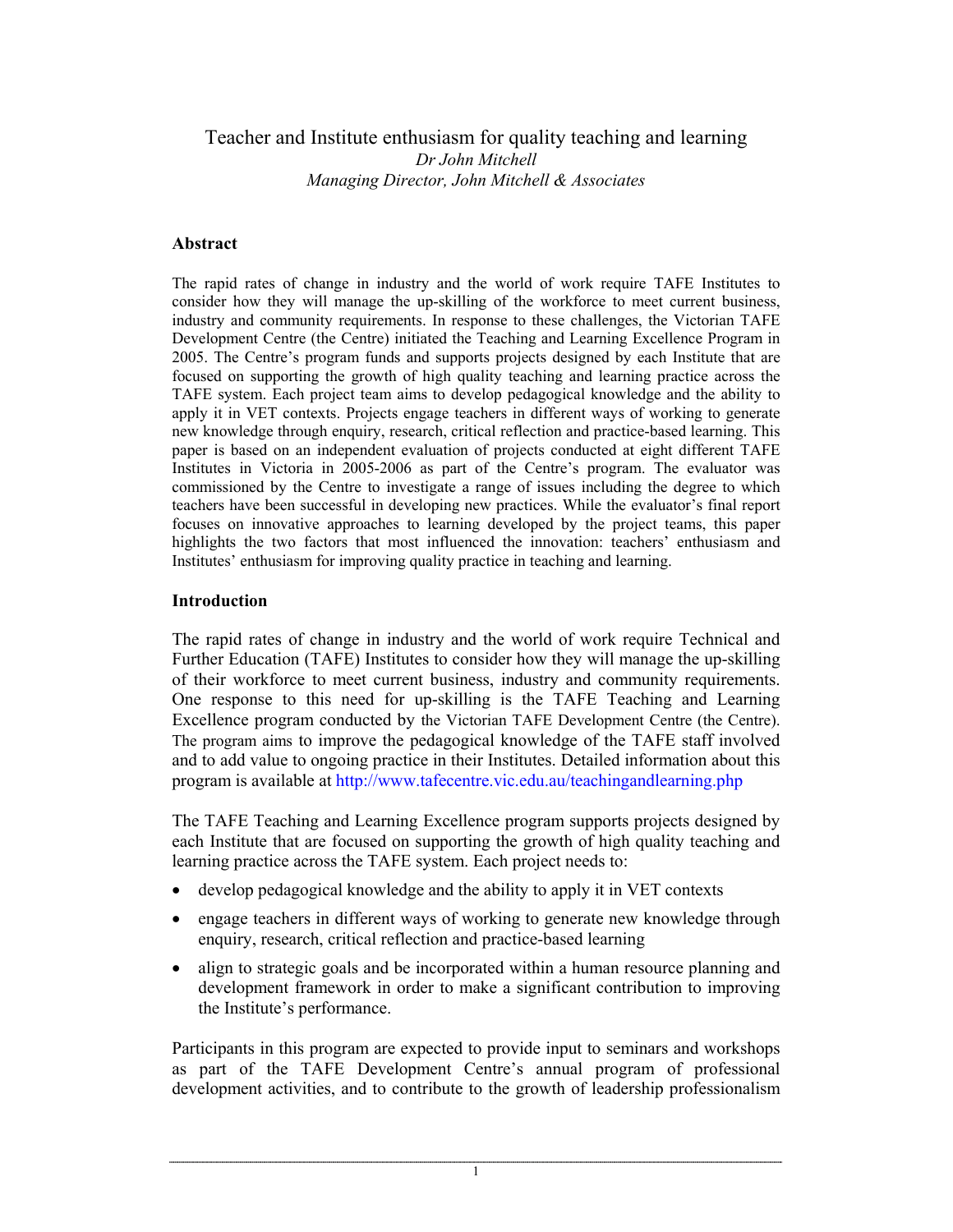# Teacher and Institute enthusiasm for quality teaching and learning *Dr John Mitchell Managing Director, John Mitchell & Associates*

## **Abstract**

The rapid rates of change in industry and the world of work require TAFE Institutes to consider how they will manage the up-skilling of the workforce to meet current business, industry and community requirements. In response to these challenges, the Victorian TAFE Development Centre (the Centre) initiated the Teaching and Learning Excellence Program in 2005. The Centre's program funds and supports projects designed by each Institute that are focused on supporting the growth of high quality teaching and learning practice across the TAFE system. Each project team aims to develop pedagogical knowledge and the ability to apply it in VET contexts. Projects engage teachers in different ways of working to generate new knowledge through enquiry, research, critical reflection and practice-based learning. This paper is based on an independent evaluation of projects conducted at eight different TAFE Institutes in Victoria in 2005-2006 as part of the Centre's program. The evaluator was commissioned by the Centre to investigate a range of issues including the degree to which teachers have been successful in developing new practices. While the evaluator's final report focuses on innovative approaches to learning developed by the project teams, this paper highlights the two factors that most influenced the innovation: teachers' enthusiasm and Institutes' enthusiasm for improving quality practice in teaching and learning.

## **Introduction**

The rapid rates of change in industry and the world of work require Technical and Further Education (TAFE) Institutes to consider how they will manage the up-skilling of their workforce to meet current business, industry and community requirements. One response to this need for up-skilling is the TAFE Teaching and Learning Excellence program conducted by the Victorian TAFE Development Centre (the Centre). The program aims to improve the pedagogical knowledge of the TAFE staff involved and to add value to ongoing practice in their Institutes. Detailed information about this program is available at http://www.tafecentre.vic.edu.au/teachingandlearning.php

The TAFE Teaching and Learning Excellence program supports projects designed by each Institute that are focused on supporting the growth of high quality teaching and learning practice across the TAFE system. Each project needs to:

- develop pedagogical knowledge and the ability to apply it in VET contexts
- engage teachers in different ways of working to generate new knowledge through enquiry, research, critical reflection and practice-based learning
- align to strategic goals and be incorporated within a human resource planning and development framework in order to make a significant contribution to improving the Institute's performance.

Participants in this program are expected to provide input to seminars and workshops as part of the TAFE Development Centre's annual program of professional development activities, and to contribute to the growth of leadership professionalism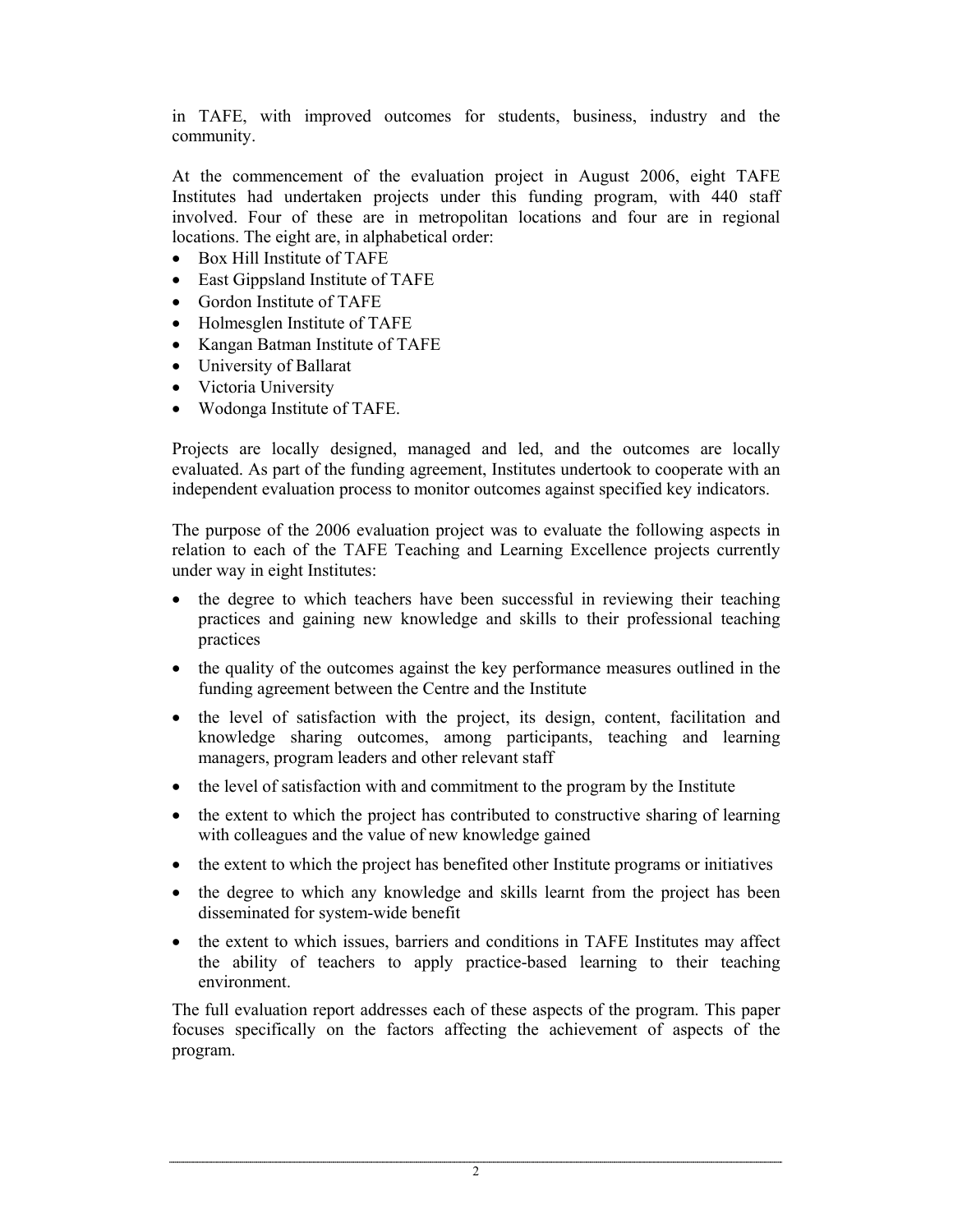in TAFE, with improved outcomes for students, business, industry and the community.

At the commencement of the evaluation project in August 2006, eight TAFE Institutes had undertaken projects under this funding program, with 440 staff involved. Four of these are in metropolitan locations and four are in regional locations. The eight are, in alphabetical order:

- Box Hill Institute of TAFE
- East Gippsland Institute of TAFE
- Gordon Institute of TAFE
- Holmesglen Institute of TAFE
- Kangan Batman Institute of TAFE
- University of Ballarat
- Victoria University
- Wodonga Institute of TAFE.

Projects are locally designed, managed and led, and the outcomes are locally evaluated. As part of the funding agreement, Institutes undertook to cooperate with an independent evaluation process to monitor outcomes against specified key indicators.

The purpose of the 2006 evaluation project was to evaluate the following aspects in relation to each of the TAFE Teaching and Learning Excellence projects currently under way in eight Institutes:

- the degree to which teachers have been successful in reviewing their teaching practices and gaining new knowledge and skills to their professional teaching practices
- the quality of the outcomes against the key performance measures outlined in the funding agreement between the Centre and the Institute
- the level of satisfaction with the project, its design, content, facilitation and knowledge sharing outcomes, among participants, teaching and learning managers, program leaders and other relevant staff
- the level of satisfaction with and commitment to the program by the Institute
- the extent to which the project has contributed to constructive sharing of learning with colleagues and the value of new knowledge gained
- the extent to which the project has benefited other Institute programs or initiatives
- the degree to which any knowledge and skills learnt from the project has been disseminated for system-wide benefit
- the extent to which issues, barriers and conditions in TAFE Institutes may affect the ability of teachers to apply practice-based learning to their teaching environment.

The full evaluation report addresses each of these aspects of the program. This paper focuses specifically on the factors affecting the achievement of aspects of the program.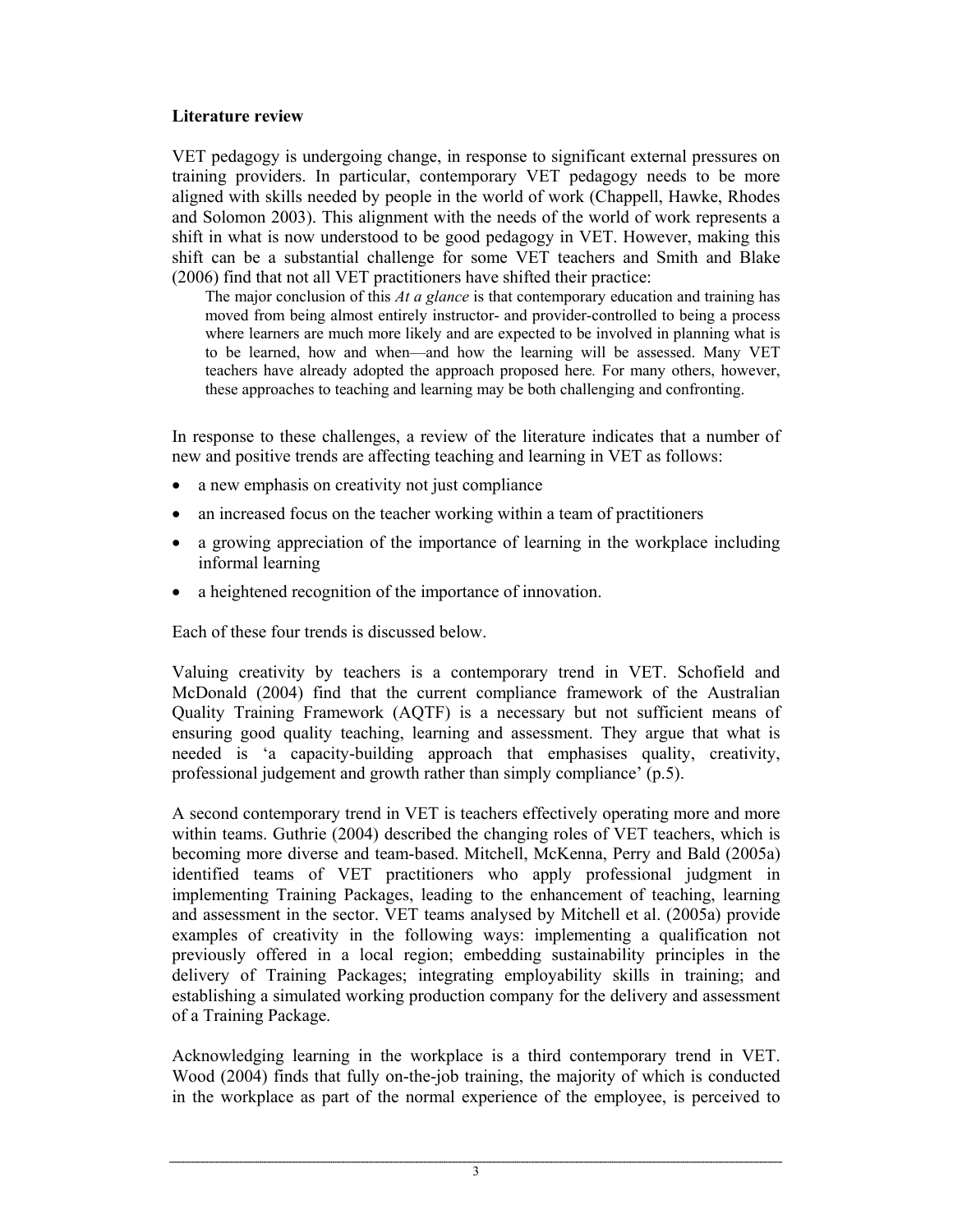## **Literature review**

VET pedagogy is undergoing change, in response to significant external pressures on training providers. In particular, contemporary VET pedagogy needs to be more aligned with skills needed by people in the world of work (Chappell, Hawke, Rhodes and Solomon 2003). This alignment with the needs of the world of work represents a shift in what is now understood to be good pedagogy in VET. However, making this shift can be a substantial challenge for some VET teachers and Smith and Blake (2006) find that not all VET practitioners have shifted their practice:

The major conclusion of this *At a glance* is that contemporary education and training has moved from being almost entirely instructor- and provider-controlled to being a process where learners are much more likely and are expected to be involved in planning what is to be learned, how and when—and how the learning will be assessed. Many VET teachers have already adopted the approach proposed here*.* For many others, however, these approaches to teaching and learning may be both challenging and confronting.

In response to these challenges, a review of the literature indicates that a number of new and positive trends are affecting teaching and learning in VET as follows:

- a new emphasis on creativity not just compliance
- an increased focus on the teacher working within a team of practitioners
- a growing appreciation of the importance of learning in the workplace including informal learning
- a heightened recognition of the importance of innovation.

Each of these four trends is discussed below.

Valuing creativity by teachers is a contemporary trend in VET. Schofield and McDonald (2004) find that the current compliance framework of the Australian Quality Training Framework (AQTF) is a necessary but not sufficient means of ensuring good quality teaching, learning and assessment. They argue that what is needed is 'a capacity-building approach that emphasises quality, creativity, professional judgement and growth rather than simply compliance' (p.5).

A second contemporary trend in VET is teachers effectively operating more and more within teams. Guthrie (2004) described the changing roles of VET teachers, which is becoming more diverse and team-based. Mitchell, McKenna, Perry and Bald (2005a) identified teams of VET practitioners who apply professional judgment in implementing Training Packages, leading to the enhancement of teaching, learning and assessment in the sector. VET teams analysed by Mitchell et al. (2005a) provide examples of creativity in the following ways: implementing a qualification not previously offered in a local region; embedding sustainability principles in the delivery of Training Packages; integrating employability skills in training; and establishing a simulated working production company for the delivery and assessment of a Training Package.

Acknowledging learning in the workplace is a third contemporary trend in VET. Wood (2004) finds that fully on-the-job training, the majority of which is conducted in the workplace as part of the normal experience of the employee, is perceived to

<sup>3</sup>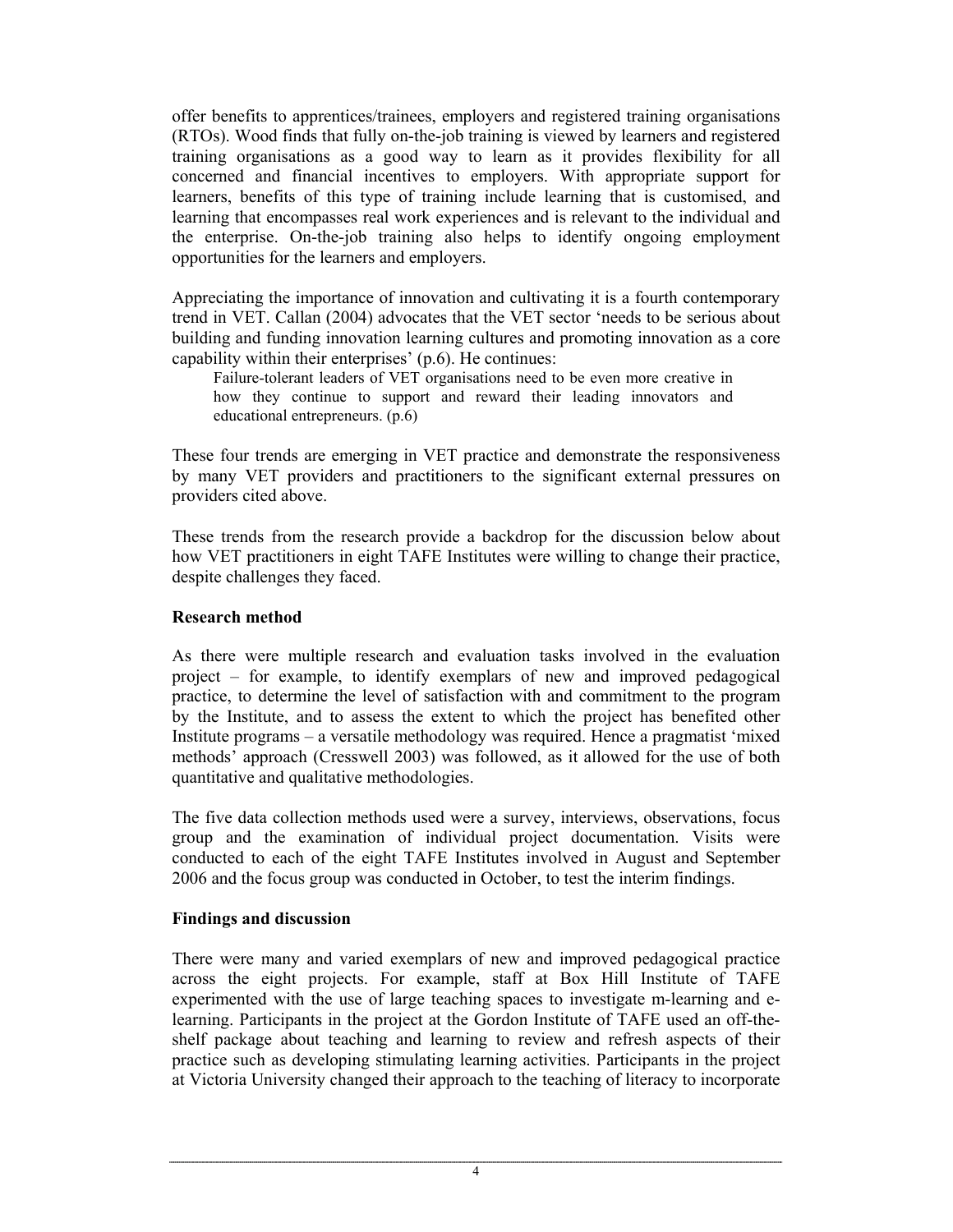offer benefits to apprentices/trainees, employers and registered training organisations (RTOs). Wood finds that fully on-the-job training is viewed by learners and registered training organisations as a good way to learn as it provides flexibility for all concerned and financial incentives to employers. With appropriate support for learners, benefits of this type of training include learning that is customised, and learning that encompasses real work experiences and is relevant to the individual and the enterprise. On-the-job training also helps to identify ongoing employment opportunities for the learners and employers.

Appreciating the importance of innovation and cultivating it is a fourth contemporary trend in VET. Callan (2004) advocates that the VET sector 'needs to be serious about building and funding innovation learning cultures and promoting innovation as a core capability within their enterprises' (p.6). He continues:

Failure-tolerant leaders of VET organisations need to be even more creative in how they continue to support and reward their leading innovators and educational entrepreneurs. (p.6)

These four trends are emerging in VET practice and demonstrate the responsiveness by many VET providers and practitioners to the significant external pressures on providers cited above.

These trends from the research provide a backdrop for the discussion below about how VET practitioners in eight TAFE Institutes were willing to change their practice, despite challenges they faced.

## **Research method**

As there were multiple research and evaluation tasks involved in the evaluation project – for example, to identify exemplars of new and improved pedagogical practice, to determine the level of satisfaction with and commitment to the program by the Institute, and to assess the extent to which the project has benefited other Institute programs – a versatile methodology was required. Hence a pragmatist 'mixed methods' approach (Cresswell 2003) was followed, as it allowed for the use of both quantitative and qualitative methodologies.

The five data collection methods used were a survey, interviews, observations, focus group and the examination of individual project documentation. Visits were conducted to each of the eight TAFE Institutes involved in August and September 2006 and the focus group was conducted in October, to test the interim findings.

## **Findings and discussion**

There were many and varied exemplars of new and improved pedagogical practice across the eight projects. For example, staff at Box Hill Institute of TAFE experimented with the use of large teaching spaces to investigate m-learning and elearning. Participants in the project at the Gordon Institute of TAFE used an off-theshelf package about teaching and learning to review and refresh aspects of their practice such as developing stimulating learning activities. Participants in the project at Victoria University changed their approach to the teaching of literacy to incorporate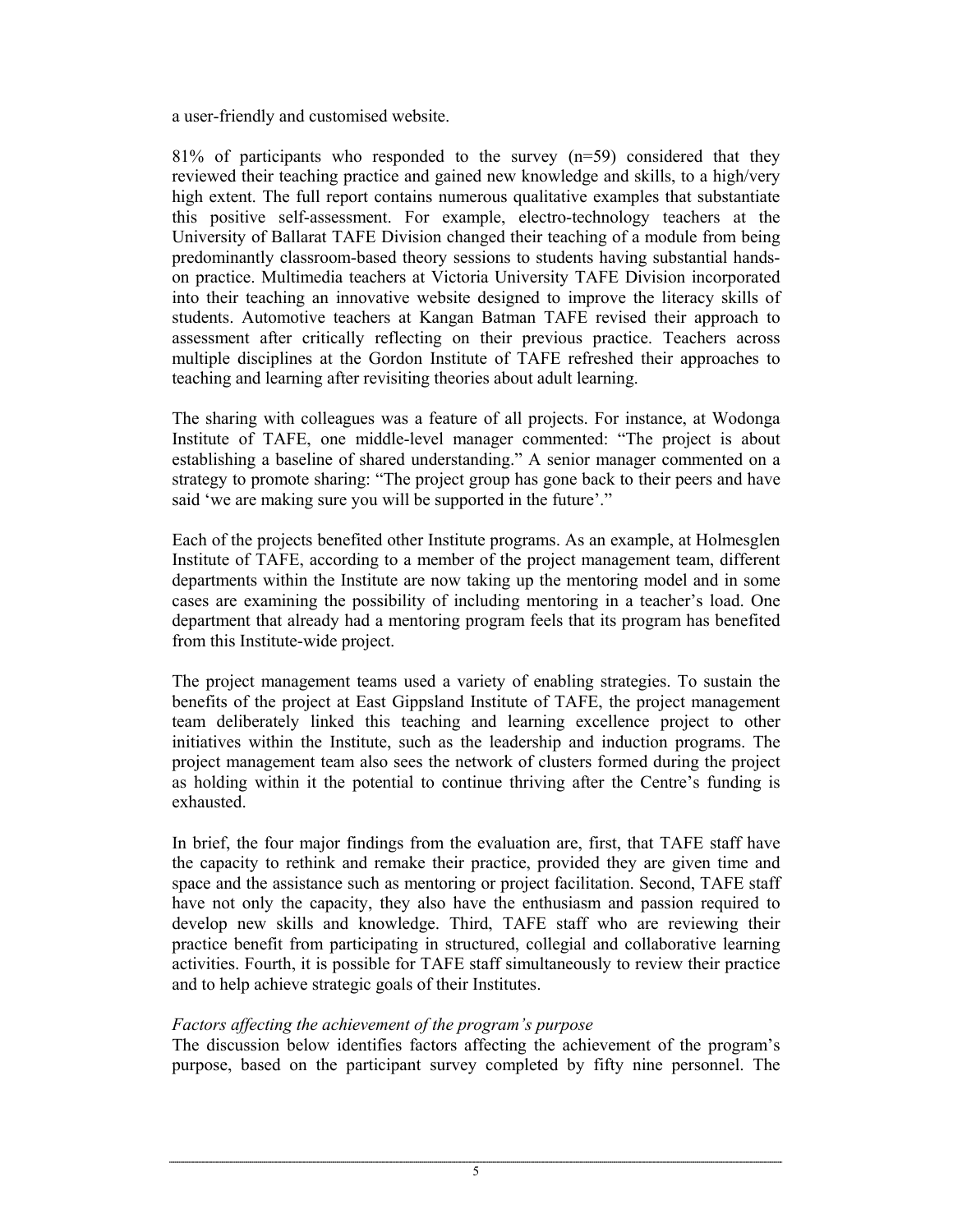a user-friendly and customised website.

81% of participants who responded to the survey  $(n=59)$  considered that they reviewed their teaching practice and gained new knowledge and skills, to a high/very high extent. The full report contains numerous qualitative examples that substantiate this positive self-assessment. For example, electro-technology teachers at the University of Ballarat TAFE Division changed their teaching of a module from being predominantly classroom-based theory sessions to students having substantial handson practice. Multimedia teachers at Victoria University TAFE Division incorporated into their teaching an innovative website designed to improve the literacy skills of students. Automotive teachers at Kangan Batman TAFE revised their approach to assessment after critically reflecting on their previous practice. Teachers across multiple disciplines at the Gordon Institute of TAFE refreshed their approaches to teaching and learning after revisiting theories about adult learning.

The sharing with colleagues was a feature of all projects. For instance, at Wodonga Institute of TAFE, one middle-level manager commented: "The project is about establishing a baseline of shared understanding." A senior manager commented on a strategy to promote sharing: "The project group has gone back to their peers and have said 'we are making sure you will be supported in the future'."

Each of the projects benefited other Institute programs. As an example, at Holmesglen Institute of TAFE, according to a member of the project management team, different departments within the Institute are now taking up the mentoring model and in some cases are examining the possibility of including mentoring in a teacher's load. One department that already had a mentoring program feels that its program has benefited from this Institute-wide project.

The project management teams used a variety of enabling strategies. To sustain the benefits of the project at East Gippsland Institute of TAFE, the project management team deliberately linked this teaching and learning excellence project to other initiatives within the Institute, such as the leadership and induction programs. The project management team also sees the network of clusters formed during the project as holding within it the potential to continue thriving after the Centre's funding is exhausted.

In brief, the four major findings from the evaluation are, first, that TAFE staff have the capacity to rethink and remake their practice, provided they are given time and space and the assistance such as mentoring or project facilitation. Second, TAFE staff have not only the capacity, they also have the enthusiasm and passion required to develop new skills and knowledge. Third, TAFE staff who are reviewing their practice benefit from participating in structured, collegial and collaborative learning activities. Fourth, it is possible for TAFE staff simultaneously to review their practice and to help achieve strategic goals of their Institutes.

## *Factors affecting the achievement of the program's purpose*

The discussion below identifies factors affecting the achievement of the program's purpose, based on the participant survey completed by fifty nine personnel. The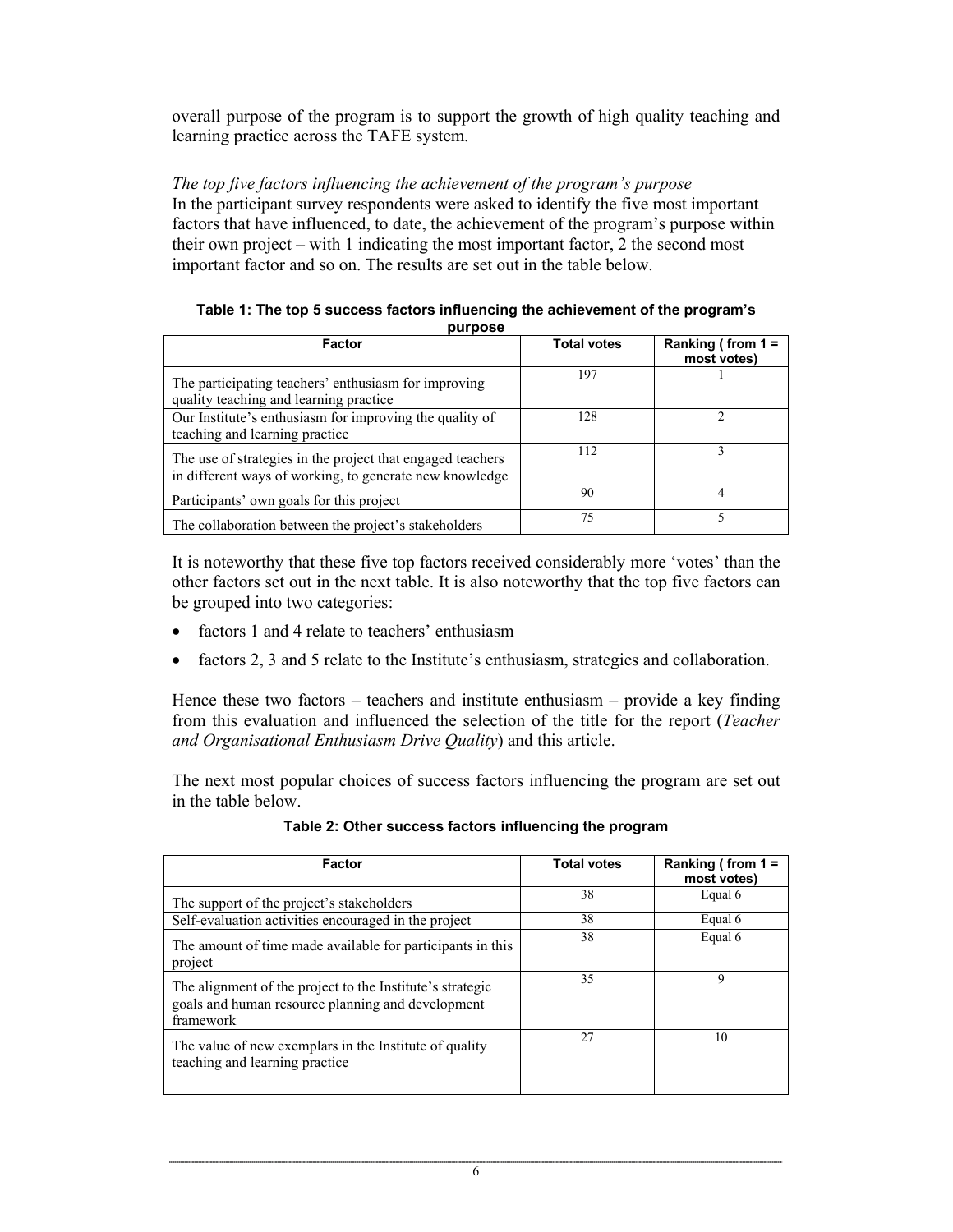overall purpose of the program is to support the growth of high quality teaching and learning practice across the TAFE system.

## *The top five factors influencing the achievement of the program's purpose*  In the participant survey respondents were asked to identify the five most important factors that have influenced, to date, the achievement of the program's purpose within their own project – with 1 indicating the most important factor, 2 the second most important factor and so on. The results are set out in the table below.

| purpose<br>Factor                                                                                                     | <b>Total votes</b> | Ranking (from $1 =$<br>most votes) |
|-----------------------------------------------------------------------------------------------------------------------|--------------------|------------------------------------|
| The participating teachers' enthusiasm for improving<br>quality teaching and learning practice                        | 197                |                                    |
| Our Institute's enthusiasm for improving the quality of<br>teaching and learning practice                             | 128                |                                    |
| The use of strategies in the project that engaged teachers<br>in different ways of working, to generate new knowledge | 112                |                                    |
| Participants' own goals for this project                                                                              | 90                 | 4                                  |
| The collaboration between the project's stakeholders                                                                  | 75                 |                                    |

| Table 1: The top 5 success factors influencing the achievement of the program's |
|---------------------------------------------------------------------------------|
| purpose                                                                         |

It is noteworthy that these five top factors received considerably more 'votes' than the other factors set out in the next table. It is also noteworthy that the top five factors can be grouped into two categories:

- factors 1 and 4 relate to teachers' enthusiasm
- factors 2, 3 and 5 relate to the Institute's enthusiasm, strategies and collaboration.

Hence these two factors – teachers and institute enthusiasm – provide a key finding from this evaluation and influenced the selection of the title for the report (*Teacher and Organisational Enthusiasm Drive Quality*) and this article.

The next most popular choices of success factors influencing the program are set out in the table below.

| Factor                                                                                                                      | <b>Total votes</b> | Ranking (from $1 =$ |
|-----------------------------------------------------------------------------------------------------------------------------|--------------------|---------------------|
|                                                                                                                             |                    | most votes)         |
| The support of the project's stakeholders                                                                                   | 38                 | Equal 6             |
| Self-evaluation activities encouraged in the project                                                                        | 38                 | Equal 6             |
| The amount of time made available for participants in this<br>project                                                       | 38                 | Equal 6             |
| The alignment of the project to the Institute's strategic<br>goals and human resource planning and development<br>framework | 35                 | 9                   |
| The value of new exemplars in the Institute of quality<br>teaching and learning practice                                    | 27                 | 10                  |

**Table 2: Other success factors influencing the program**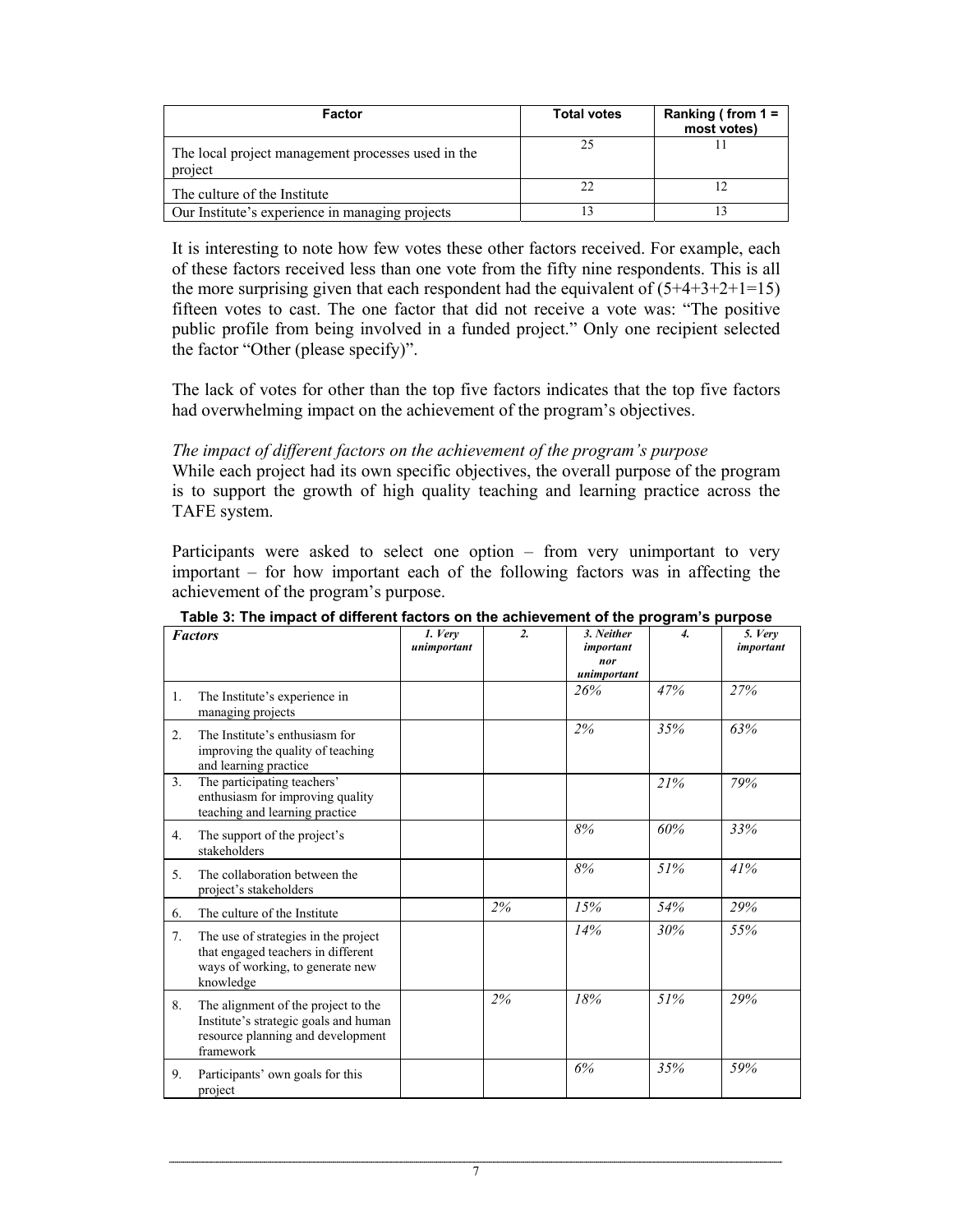| Factor                                                        | <b>Total votes</b> | Ranking (from $1 =$<br>most votes) |
|---------------------------------------------------------------|--------------------|------------------------------------|
| The local project management processes used in the<br>project | 25                 |                                    |
| The culture of the Institute                                  |                    |                                    |
| Our Institute's experience in managing projects               |                    |                                    |

It is interesting to note how few votes these other factors received. For example, each of these factors received less than one vote from the fifty nine respondents. This is all the more surprising given that each respondent had the equivalent of  $(5+4+3+2+1=15)$ fifteen votes to cast. The one factor that did not receive a vote was: "The positive public profile from being involved in a funded project." Only one recipient selected the factor "Other (please specify)".

The lack of votes for other than the top five factors indicates that the top five factors had overwhelming impact on the achievement of the program's objectives.

#### *The impact of different factors on the achievement of the program's purpose*

While each project had its own specific objectives, the overall purpose of the program is to support the growth of high quality teaching and learning practice across the TAFE system.

Participants were asked to select one option – from very unimportant to very important – for how important each of the following factors was in affecting the achievement of the program's purpose.

|                | <b>Factors</b>                                                                                                                 | 1. Very<br>unimportant | $\overline{2}$ | 3. Neither<br>important<br>nor<br>unimportant | $\overline{4}$ . | 5. Very<br>important |
|----------------|--------------------------------------------------------------------------------------------------------------------------------|------------------------|----------------|-----------------------------------------------|------------------|----------------------|
| 1.             | The Institute's experience in<br>managing projects                                                                             |                        |                | 26%                                           | 47%              | 27%                  |
| 2.             | The Institute's enthusiasm for<br>improving the quality of teaching<br>and learning practice                                   |                        |                | 2%                                            | 35%              | 63%                  |
| 3 <sub>1</sub> | The participating teachers'<br>enthusiasm for improving quality<br>teaching and learning practice                              |                        |                |                                               | 21%              | 79%                  |
| 4.             | The support of the project's<br>stakeholders                                                                                   |                        |                | 8%                                            | 60%              | 33%                  |
| 5.             | The collaboration between the<br>project's stakeholders                                                                        |                        |                | 8%                                            | 51%              | 41%                  |
| 6.             | The culture of the Institute                                                                                                   |                        | 2%             | 15%                                           | 54%              | 29%                  |
| 7.             | The use of strategies in the project<br>that engaged teachers in different<br>ways of working, to generate new<br>knowledge    |                        |                | 14%                                           | 30%              | 55%                  |
| 8.             | The alignment of the project to the<br>Institute's strategic goals and human<br>resource planning and development<br>framework |                        | 2%             | 18%                                           | 51%              | 29%                  |
| 9.             | Participants' own goals for this<br>project                                                                                    |                        |                | 6%                                            | 35%              | 59%                  |

**Table 3: The impact of different factors on the achievement of the program's purpose**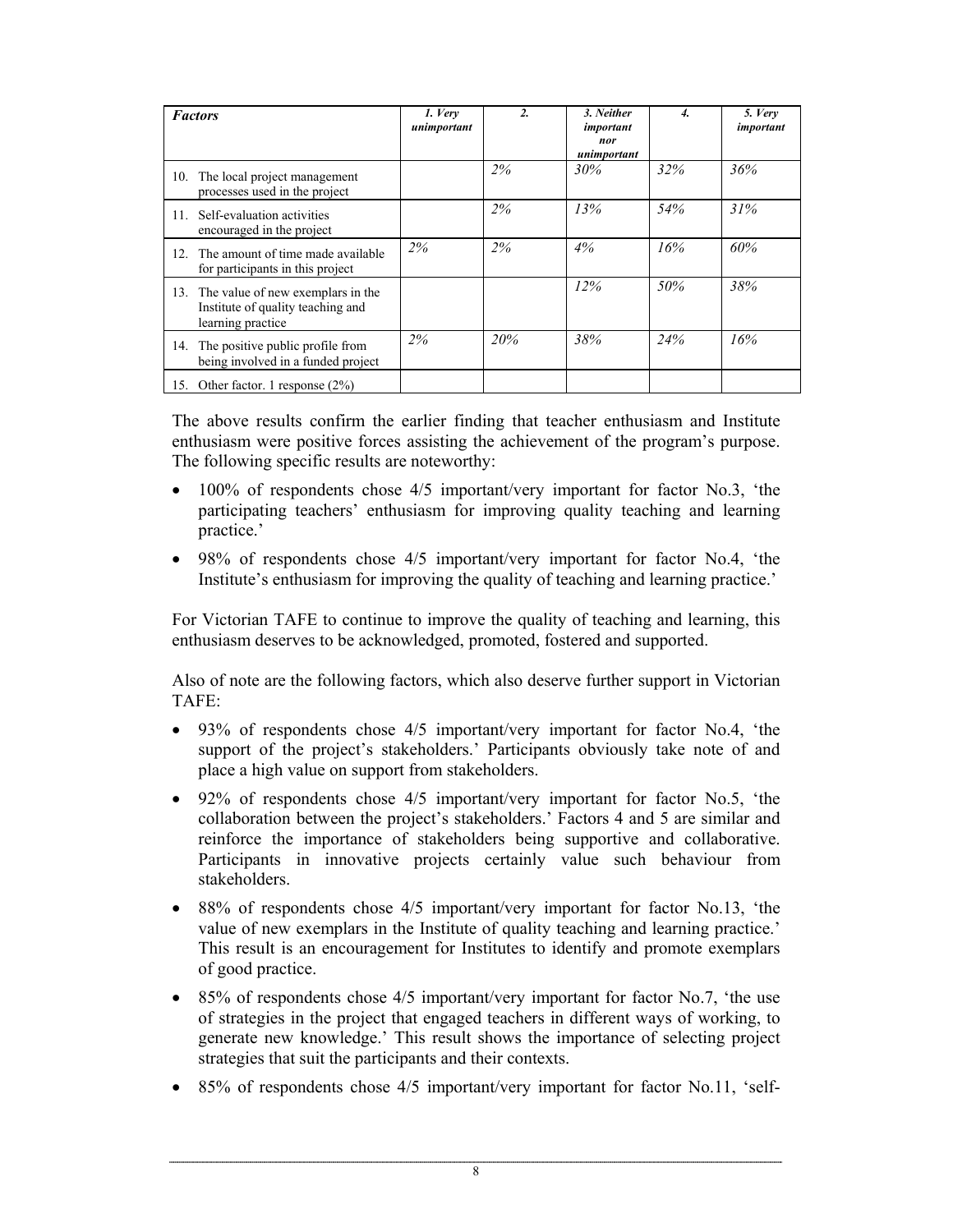|          | <b>Factors</b>                                                                                  | 1. Very<br>unimportant | 2.  | 3. Neither<br>important<br>nor<br>unimportant | 4.  | 5. Very<br>important |
|----------|-------------------------------------------------------------------------------------------------|------------------------|-----|-----------------------------------------------|-----|----------------------|
| 10.      | The local project management<br>processes used in the project                                   |                        | 2%  | 30%                                           | 32% | 36%                  |
| 11.      | Self-evaluation activities<br>encouraged in the project                                         |                        | 2%  | 13%                                           | 54% | 31%                  |
| $12_{-}$ | The amount of time made available<br>for participants in this project                           | 2%                     | 2%  | 4%                                            | 16% | 60%                  |
|          | 13. The value of new exemplars in the<br>Institute of quality teaching and<br>learning practice |                        |     | 12%                                           | 50% | 38%                  |
| 14.      | The positive public profile from<br>being involved in a funded project                          | 2%                     | 20% | 38%                                           | 24% | 16%                  |
|          | 15. Other factor. 1 response (2%)                                                               |                        |     |                                               |     |                      |

The above results confirm the earlier finding that teacher enthusiasm and Institute enthusiasm were positive forces assisting the achievement of the program's purpose. The following specific results are noteworthy:

- 100% of respondents chose  $4/5$  important/very important for factor No.3, 'the participating teachers' enthusiasm for improving quality teaching and learning practice.'
- 98% of respondents chose 4/5 important/very important for factor No.4, 'the Institute's enthusiasm for improving the quality of teaching and learning practice.'

For Victorian TAFE to continue to improve the quality of teaching and learning, this enthusiasm deserves to be acknowledged, promoted, fostered and supported.

Also of note are the following factors, which also deserve further support in Victorian TAFE:

- 93% of respondents chose 4/5 important/very important for factor No.4, 'the support of the project's stakeholders.' Participants obviously take note of and place a high value on support from stakeholders.
- 92% of respondents chose  $4/5$  important/very important for factor No.5, 'the collaboration between the project's stakeholders.' Factors 4 and 5 are similar and reinforce the importance of stakeholders being supportive and collaborative. Participants in innovative projects certainly value such behaviour from stakeholders.
- 88% of respondents chose 4/5 important/very important for factor No.13, 'the value of new exemplars in the Institute of quality teaching and learning practice.' This result is an encouragement for Institutes to identify and promote exemplars of good practice.
- 85% of respondents chose 4/5 important/very important for factor No.7, 'the use of strategies in the project that engaged teachers in different ways of working, to generate new knowledge.' This result shows the importance of selecting project strategies that suit the participants and their contexts.
- 85% of respondents chose 4/5 important/very important for factor No.11, 'self-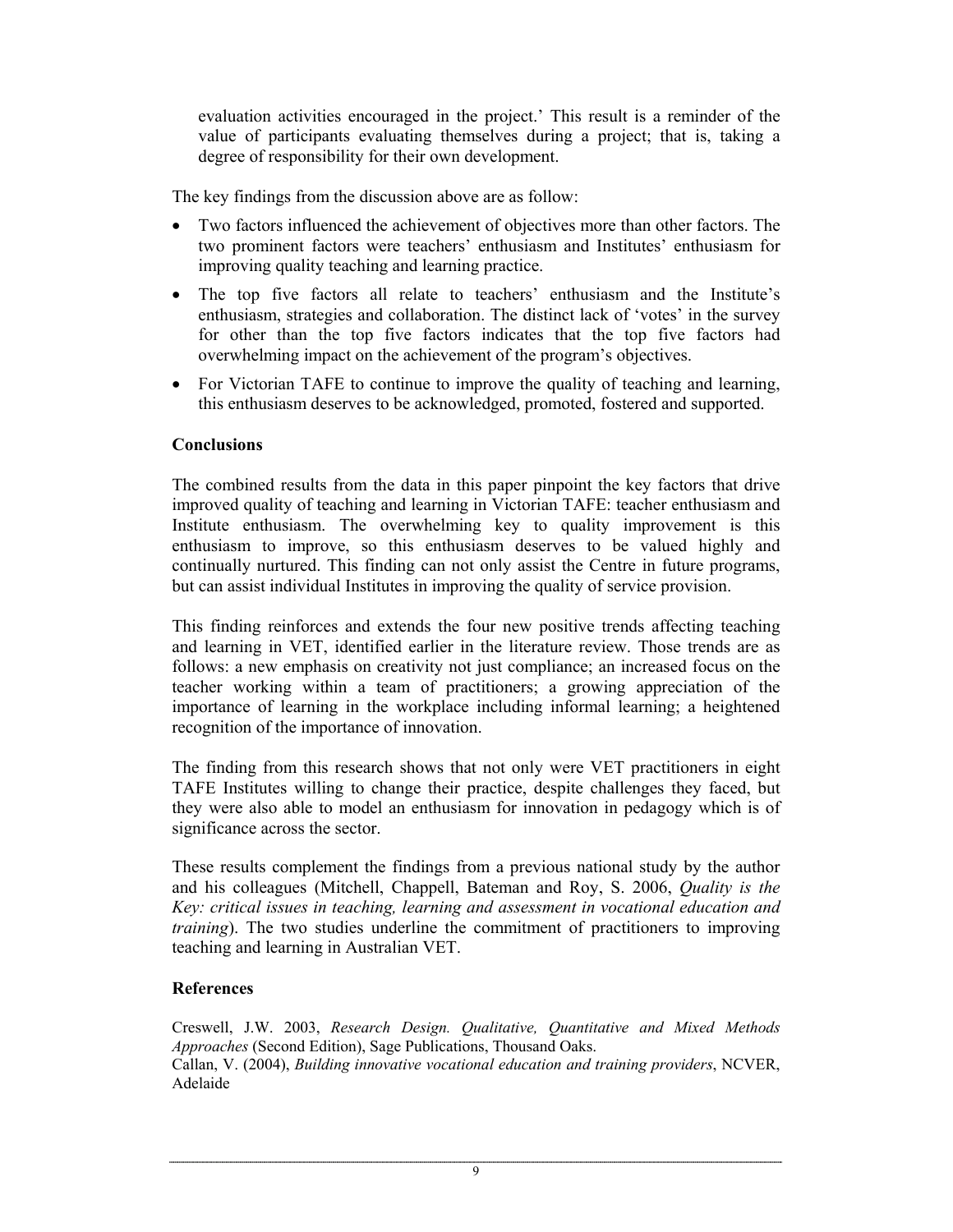evaluation activities encouraged in the project.' This result is a reminder of the value of participants evaluating themselves during a project; that is, taking a degree of responsibility for their own development.

The key findings from the discussion above are as follow:

- Two factors influenced the achievement of objectives more than other factors. The two prominent factors were teachers' enthusiasm and Institutes' enthusiasm for improving quality teaching and learning practice.
- The top five factors all relate to teachers' enthusiasm and the Institute's enthusiasm, strategies and collaboration. The distinct lack of 'votes' in the survey for other than the top five factors indicates that the top five factors had overwhelming impact on the achievement of the program's objectives.
- For Victorian TAFE to continue to improve the quality of teaching and learning, this enthusiasm deserves to be acknowledged, promoted, fostered and supported.

## **Conclusions**

The combined results from the data in this paper pinpoint the key factors that drive improved quality of teaching and learning in Victorian TAFE: teacher enthusiasm and Institute enthusiasm. The overwhelming key to quality improvement is this enthusiasm to improve, so this enthusiasm deserves to be valued highly and continually nurtured. This finding can not only assist the Centre in future programs, but can assist individual Institutes in improving the quality of service provision.

This finding reinforces and extends the four new positive trends affecting teaching and learning in VET, identified earlier in the literature review. Those trends are as follows: a new emphasis on creativity not just compliance; an increased focus on the teacher working within a team of practitioners; a growing appreciation of the importance of learning in the workplace including informal learning; a heightened recognition of the importance of innovation.

The finding from this research shows that not only were VET practitioners in eight TAFE Institutes willing to change their practice, despite challenges they faced, but they were also able to model an enthusiasm for innovation in pedagogy which is of significance across the sector.

These results complement the findings from a previous national study by the author and his colleagues (Mitchell, Chappell, Bateman and Roy, S. 2006, *Quality is the Key: critical issues in teaching, learning and assessment in vocational education and training*). The two studies underline the commitment of practitioners to improving teaching and learning in Australian VET.

#### **References**

Creswell, J.W. 2003, *Research Design. Qualitative, Quantitative and Mixed Methods Approaches* (Second Edition), Sage Publications, Thousand Oaks. Callan, V. (2004), *Building innovative vocational education and training providers*, NCVER, Adelaide